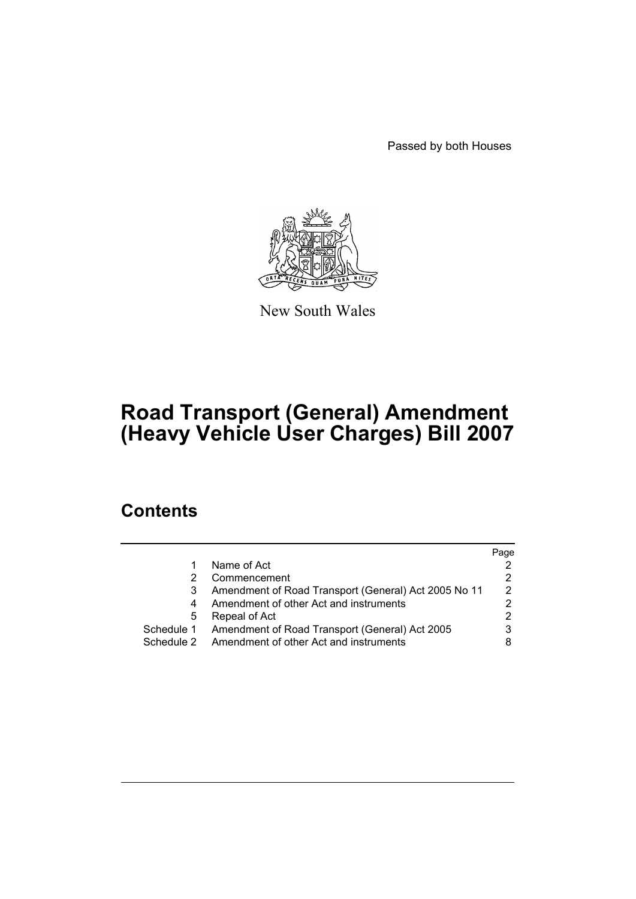Passed by both Houses



New South Wales

# **Road Transport (General) Amendment (Heavy Vehicle User Charges) Bill 2007**

# **Contents**

|            |                                                      | Page          |
|------------|------------------------------------------------------|---------------|
|            | Name of Act                                          |               |
|            | Commencement                                         |               |
|            | Amendment of Road Transport (General) Act 2005 No 11 | $\mathcal{P}$ |
|            | Amendment of other Act and instruments               |               |
| 5          | Repeal of Act                                        |               |
| Schedule 1 | Amendment of Road Transport (General) Act 2005       |               |
| Schedule 2 | Amendment of other Act and instruments               |               |
|            |                                                      |               |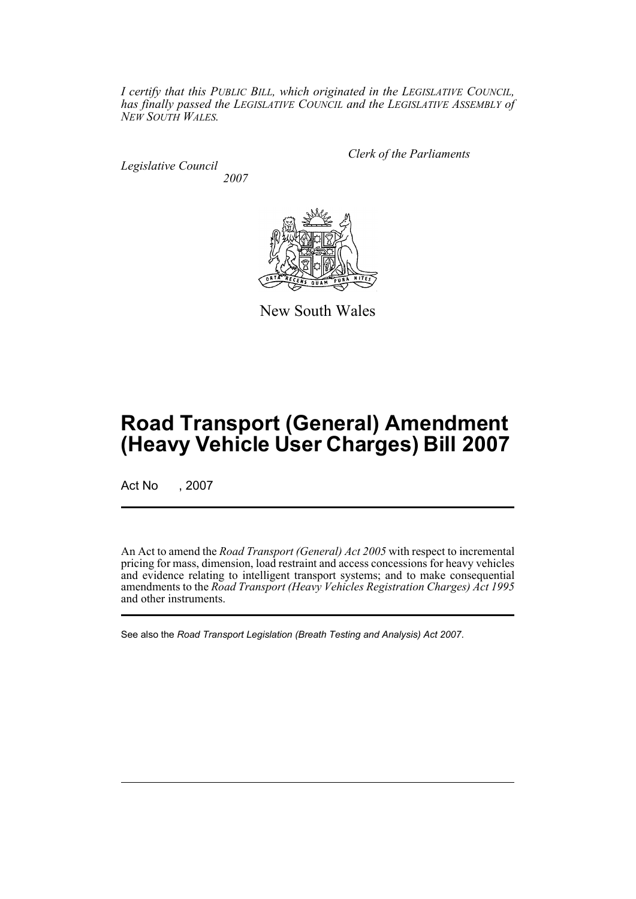*I certify that this PUBLIC BILL, which originated in the LEGISLATIVE COUNCIL, has finally passed the LEGISLATIVE COUNCIL and the LEGISLATIVE ASSEMBLY of NEW SOUTH WALES.*

*Legislative Council 2007* *Clerk of the Parliaments*



New South Wales

# **Road Transport (General) Amendment (Heavy Vehicle User Charges) Bill 2007**

Act No , 2007

An Act to amend the *Road Transport (General) Act 2005* with respect to incremental pricing for mass, dimension, load restraint and access concessions for heavy vehicles and evidence relating to intelligent transport systems; and to make consequential amendments to the *Road Transport (Heavy Vehicles Registration Charges) Act 1995* and other instruments.

See also the *Road Transport Legislation (Breath Testing and Analysis) Act 2007*.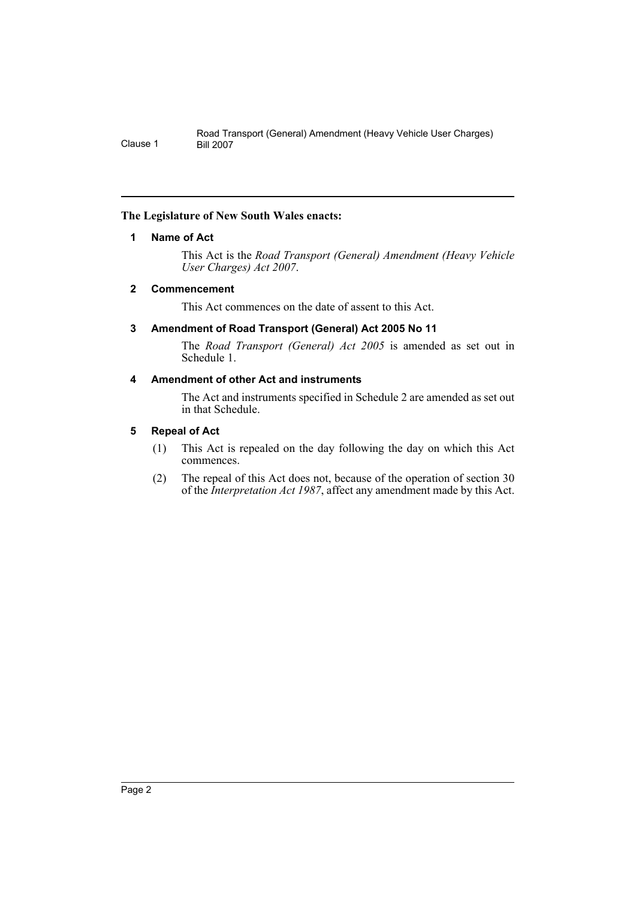# <span id="page-2-0"></span>**The Legislature of New South Wales enacts:**

# **1 Name of Act**

This Act is the *Road Transport (General) Amendment (Heavy Vehicle User Charges) Act 2007*.

# <span id="page-2-1"></span>**2 Commencement**

This Act commences on the date of assent to this Act.

# <span id="page-2-2"></span>**3 Amendment of Road Transport (General) Act 2005 No 11**

The *Road Transport (General) Act 2005* is amended as set out in Schedule 1.

# <span id="page-2-3"></span>**4 Amendment of other Act and instruments**

The Act and instruments specified in Schedule 2 are amended as set out in that Schedule.

# <span id="page-2-4"></span>**5 Repeal of Act**

- (1) This Act is repealed on the day following the day on which this Act commences.
- (2) The repeal of this Act does not, because of the operation of section 30 of the *Interpretation Act 1987*, affect any amendment made by this Act.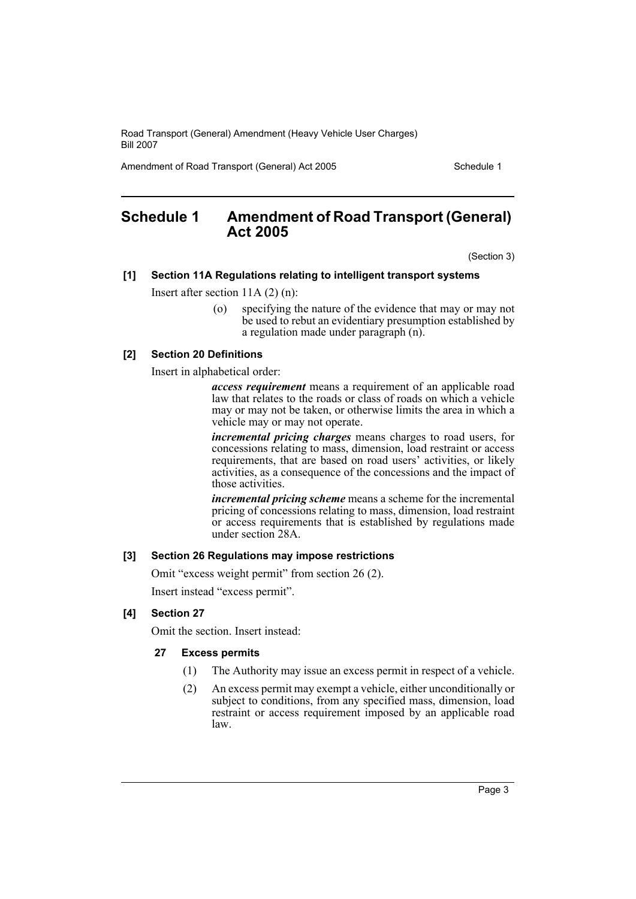Amendment of Road Transport (General) Act 2005 Schedule 1

# <span id="page-3-0"></span>**Schedule 1 Amendment of Road Transport (General) Act 2005**

(Section 3)

#### **[1] Section 11A Regulations relating to intelligent transport systems**

Insert after section 11A (2) (n):

(o) specifying the nature of the evidence that may or may not be used to rebut an evidentiary presumption established by a regulation made under paragraph (n).

#### **[2] Section 20 Definitions**

Insert in alphabetical order:

*access requirement* means a requirement of an applicable road law that relates to the roads or class of roads on which a vehicle may or may not be taken, or otherwise limits the area in which a vehicle may or may not operate.

*incremental pricing charges* means charges to road users, for concessions relating to mass, dimension, load restraint or access requirements, that are based on road users' activities, or likely activities, as a consequence of the concessions and the impact of those activities.

*incremental pricing scheme* means a scheme for the incremental pricing of concessions relating to mass, dimension, load restraint or access requirements that is established by regulations made under section 28A.

#### **[3] Section 26 Regulations may impose restrictions**

Omit "excess weight permit" from section 26 (2).

Insert instead "excess permit".

#### **[4] Section 27**

Omit the section. Insert instead:

#### **27 Excess permits**

- (1) The Authority may issue an excess permit in respect of a vehicle.
- (2) An excess permit may exempt a vehicle, either unconditionally or subject to conditions, from any specified mass, dimension, load restraint or access requirement imposed by an applicable road law.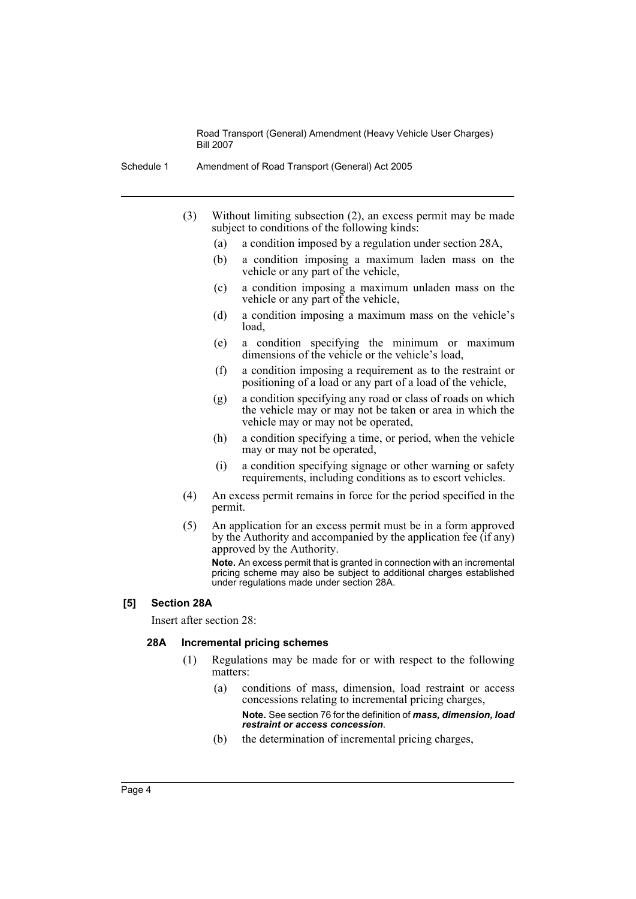- Schedule 1 Amendment of Road Transport (General) Act 2005
	- (3) Without limiting subsection (2), an excess permit may be made subject to conditions of the following kinds:
		- (a) a condition imposed by a regulation under section 28A,
		- (b) a condition imposing a maximum laden mass on the vehicle or any part of the vehicle,
		- (c) a condition imposing a maximum unladen mass on the vehicle or any part of the vehicle,
		- (d) a condition imposing a maximum mass on the vehicle's load,
		- (e) a condition specifying the minimum or maximum dimensions of the vehicle or the vehicle's load,
		- (f) a condition imposing a requirement as to the restraint or positioning of a load or any part of a load of the vehicle,
		- (g) a condition specifying any road or class of roads on which the vehicle may or may not be taken or area in which the vehicle may or may not be operated,
		- (h) a condition specifying a time, or period, when the vehicle may or may not be operated,
		- (i) a condition specifying signage or other warning or safety requirements, including conditions as to escort vehicles.
	- (4) An excess permit remains in force for the period specified in the permit.
	- (5) An application for an excess permit must be in a form approved by the Authority and accompanied by the application fee  $(\text{if any})$ approved by the Authority.

**Note.** An excess permit that is granted in connection with an incremental pricing scheme may also be subject to additional charges established under regulations made under section 28A.

#### **[5] Section 28A**

Insert after section 28:

#### **28A Incremental pricing schemes**

- (1) Regulations may be made for or with respect to the following matters:
	- (a) conditions of mass, dimension, load restraint or access concessions relating to incremental pricing charges, **Note.** See section 76 for the definition of *mass, dimension, load restraint or access concession*.
	- (b) the determination of incremental pricing charges,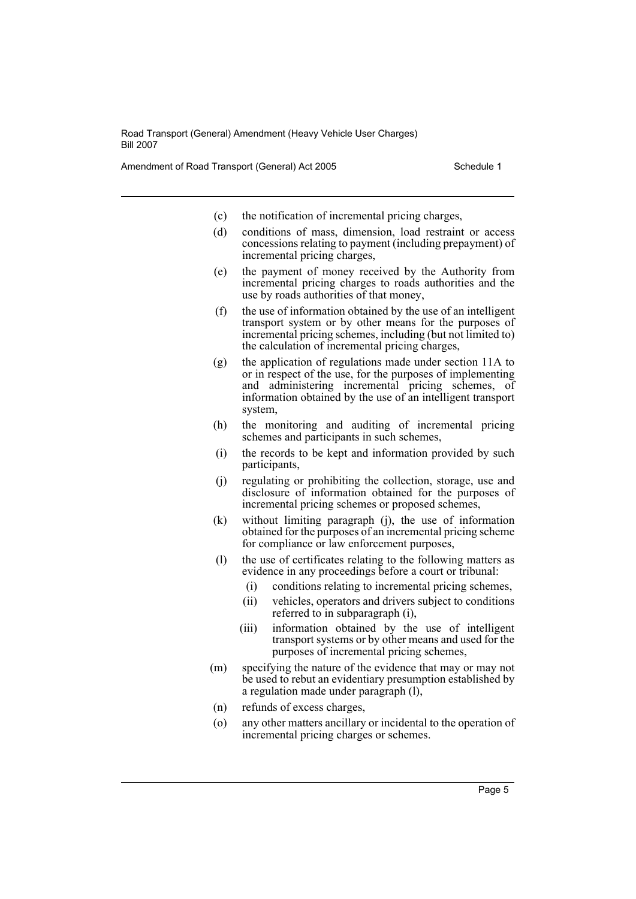Amendment of Road Transport (General) Act 2005 Schedule 1

- (c) the notification of incremental pricing charges,
- (d) conditions of mass, dimension, load restraint or access concessions relating to payment (including prepayment) of incremental pricing charges,
- (e) the payment of money received by the Authority from incremental pricing charges to roads authorities and the use by roads authorities of that money,
- (f) the use of information obtained by the use of an intelligent transport system or by other means for the purposes of incremental pricing schemes, including (but not limited to) the calculation of incremental pricing charges,
- (g) the application of regulations made under section 11A to or in respect of the use, for the purposes of implementing and administering incremental pricing schemes, of information obtained by the use of an intelligent transport system,
- (h) the monitoring and auditing of incremental pricing schemes and participants in such schemes,
- (i) the records to be kept and information provided by such participants,
- (j) regulating or prohibiting the collection, storage, use and disclosure of information obtained for the purposes of incremental pricing schemes or proposed schemes,
- (k) without limiting paragraph (j), the use of information obtained for the purposes of an incremental pricing scheme for compliance or law enforcement purposes,
- (l) the use of certificates relating to the following matters as evidence in any proceedings before a court or tribunal:
	- (i) conditions relating to incremental pricing schemes,
	- (ii) vehicles, operators and drivers subject to conditions referred to in subparagraph (i),
	- (iii) information obtained by the use of intelligent transport systems or by other means and used for the purposes of incremental pricing schemes,
- (m) specifying the nature of the evidence that may or may not be used to rebut an evidentiary presumption established by a regulation made under paragraph (l),
- (n) refunds of excess charges,
- (o) any other matters ancillary or incidental to the operation of incremental pricing charges or schemes.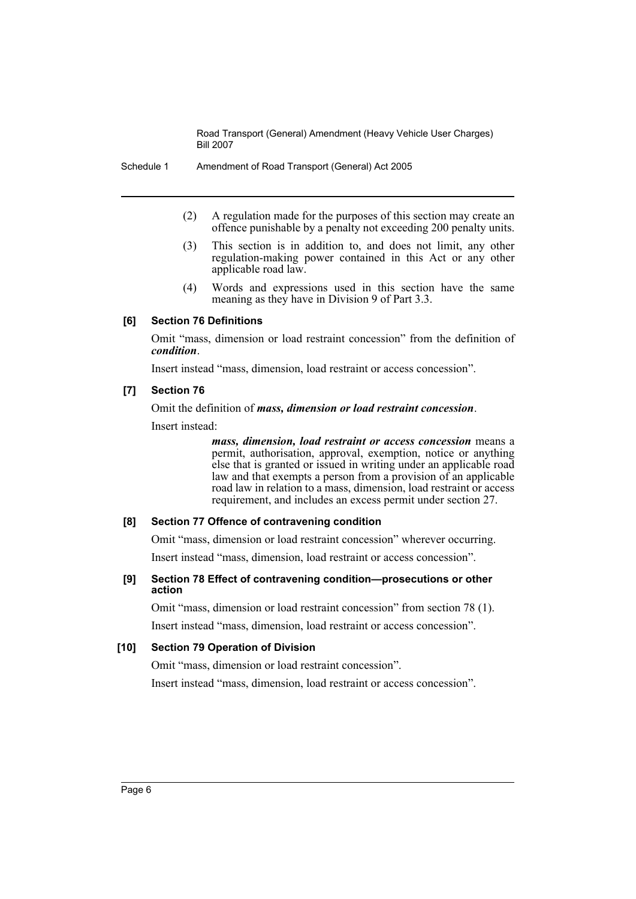Schedule 1 Amendment of Road Transport (General) Act 2005

- (2) A regulation made for the purposes of this section may create an offence punishable by a penalty not exceeding 200 penalty units.
- (3) This section is in addition to, and does not limit, any other regulation-making power contained in this Act or any other applicable road law.
- (4) Words and expressions used in this section have the same meaning as they have in Division 9 of Part 3.3.

# **[6] Section 76 Definitions**

Omit "mass, dimension or load restraint concession" from the definition of *condition*.

Insert instead "mass, dimension, load restraint or access concession".

#### **[7] Section 76**

Omit the definition of *mass, dimension or load restraint concession*.

Insert instead:

*mass, dimension, load restraint or access concession* means a permit, authorisation, approval, exemption, notice or anything else that is granted or issued in writing under an applicable road law and that exempts a person from a provision of an applicable road law in relation to a mass, dimension, load restraint or access requirement, and includes an excess permit under section 27.

#### **[8] Section 77 Offence of contravening condition**

Omit "mass, dimension or load restraint concession" wherever occurring.

Insert instead "mass, dimension, load restraint or access concession".

#### **[9] Section 78 Effect of contravening condition—prosecutions or other action**

Omit "mass, dimension or load restraint concession" from section 78 (1). Insert instead "mass, dimension, load restraint or access concession".

### **[10] Section 79 Operation of Division**

Omit "mass, dimension or load restraint concession".

Insert instead "mass, dimension, load restraint or access concession".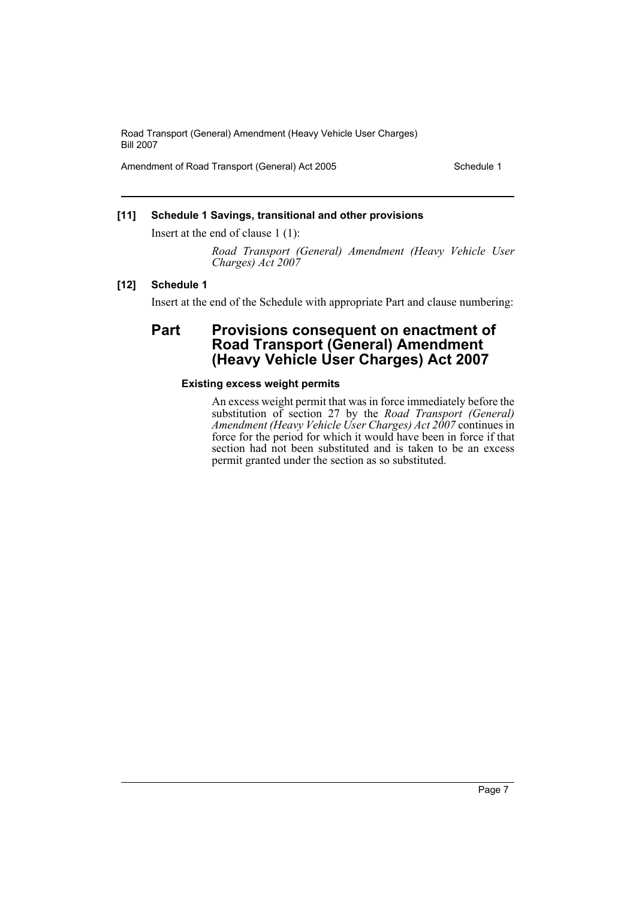Amendment of Road Transport (General) Act 2005 Schedule 1

### **[11] Schedule 1 Savings, transitional and other provisions**

Insert at the end of clause 1 (1):

*Road Transport (General) Amendment (Heavy Vehicle User Charges) Act 2007*

#### **[12] Schedule 1**

Insert at the end of the Schedule with appropriate Part and clause numbering:

# **Part Provisions consequent on enactment of Road Transport (General) Amendment (Heavy Vehicle User Charges) Act 2007**

#### **Existing excess weight permits**

An excess weight permit that was in force immediately before the substitution of section 27 by the *Road Transport (General) Amendment (Heavy Vehicle User Charges) Act 2007* continues in force for the period for which it would have been in force if that section had not been substituted and is taken to be an excess permit granted under the section as so substituted.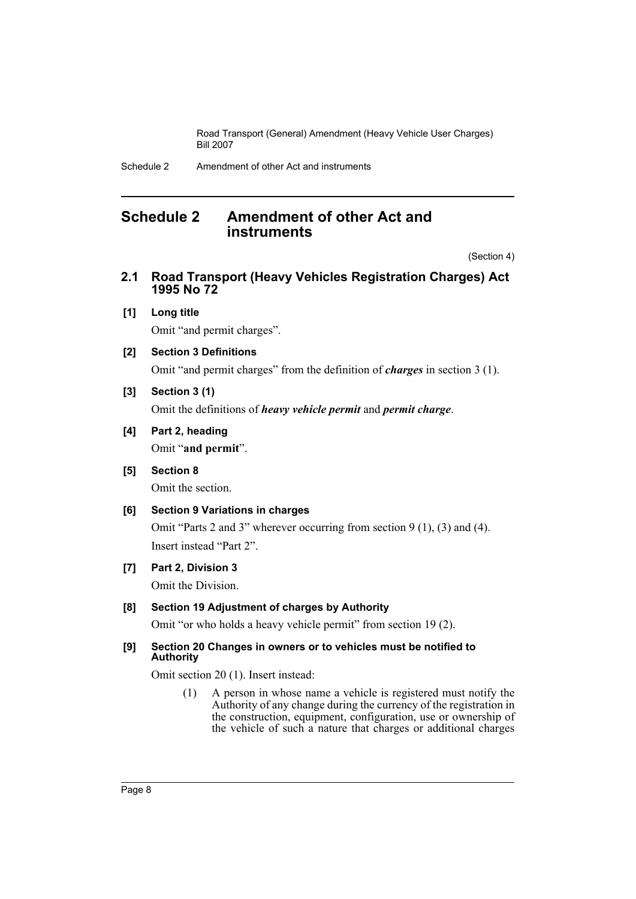# <span id="page-8-0"></span>**Schedule 2 Amendment of other Act and instruments**

(Section 4)

- **2.1 Road Transport (Heavy Vehicles Registration Charges) Act 1995 No 72**
- **[1] Long title**

Omit "and permit charges".

**[2] Section 3 Definitions**

Omit "and permit charges" from the definition of *charges* in section 3 (1).

# **[3] Section 3 (1)**

Omit the definitions of *heavy vehicle permit* and *permit charge*.

# **[4] Part 2, heading**

Omit "**and permit**".

**[5] Section 8** 

Omit the section.

# **[6] Section 9 Variations in charges**

Omit "Parts 2 and 3" wherever occurring from section 9 (1), (3) and (4). Insert instead "Part 2".

**[7] Part 2, Division 3**

Omit the Division.

# **[8] Section 19 Adjustment of charges by Authority**

Omit "or who holds a heavy vehicle permit" from section 19 (2).

#### **[9] Section 20 Changes in owners or to vehicles must be notified to Authority**

Omit section 20 (1). Insert instead:

(1) A person in whose name a vehicle is registered must notify the Authority of any change during the currency of the registration in the construction, equipment, configuration, use or ownership of the vehicle of such a nature that charges or additional charges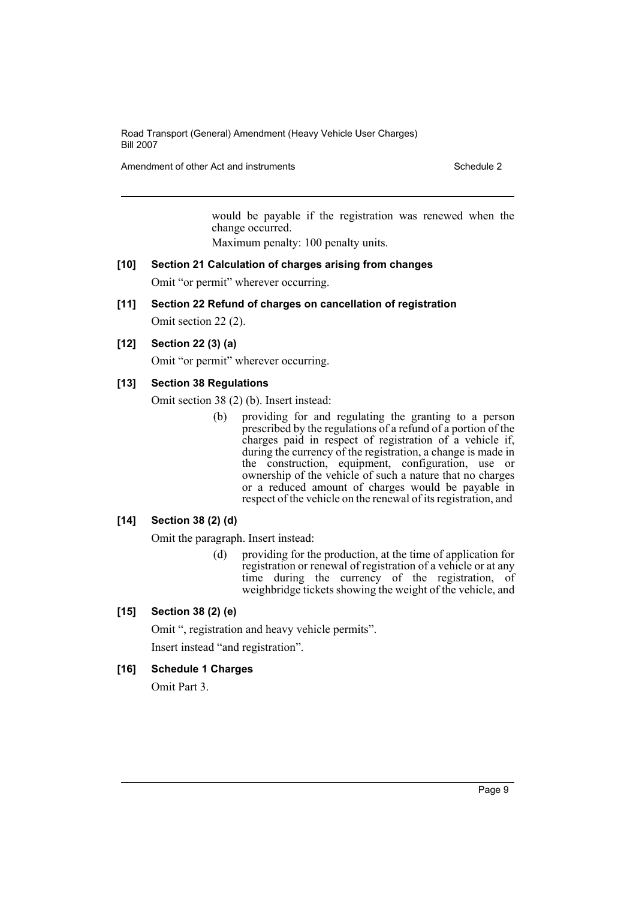Amendment of other Act and instruments **Schedule 2** Schedule 2

would be payable if the registration was renewed when the change occurred.

Maximum penalty: 100 penalty units.

- **[10] Section 21 Calculation of charges arising from changes** Omit "or permit" wherever occurring.
- **[11] Section 22 Refund of charges on cancellation of registration**

Omit section 22 (2).

**[12] Section 22 (3) (a)**

Omit "or permit" wherever occurring.

#### **[13] Section 38 Regulations**

Omit section 38 (2) (b). Insert instead:

(b) providing for and regulating the granting to a person prescribed by the regulations of a refund of a portion of the charges paid in respect of registration of a vehicle if, during the currency of the registration, a change is made in the construction, equipment, configuration, use or ownership of the vehicle of such a nature that no charges or a reduced amount of charges would be payable in respect of the vehicle on the renewal of its registration, and

#### **[14] Section 38 (2) (d)**

Omit the paragraph. Insert instead:

(d) providing for the production, at the time of application for registration or renewal of registration of a vehicle or at any time during the currency of the registration, of weighbridge tickets showing the weight of the vehicle, and

#### **[15] Section 38 (2) (e)**

Omit ", registration and heavy vehicle permits". Insert instead "and registration".

# **[16] Schedule 1 Charges**

Omit Part 3.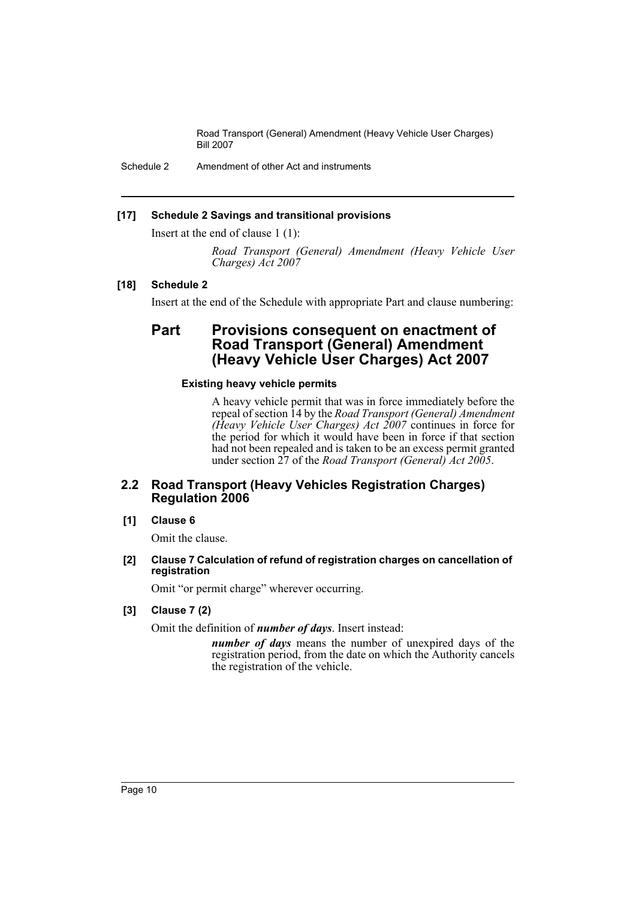Schedule 2 Amendment of other Act and instruments

# **[17] Schedule 2 Savings and transitional provisions**

Insert at the end of clause 1 (1):

*Road Transport (General) Amendment (Heavy Vehicle User Charges) Act 2007*

# **[18] Schedule 2**

Insert at the end of the Schedule with appropriate Part and clause numbering:

# **Part Provisions consequent on enactment of Road Transport (General) Amendment (Heavy Vehicle User Charges) Act 2007**

# **Existing heavy vehicle permits**

A heavy vehicle permit that was in force immediately before the repeal of section 14 by the *Road Transport (General) Amendment (Heavy Vehicle User Charges) Act 2007* continues in force for the period for which it would have been in force if that section had not been repealed and is taken to be an excess permit granted under section 27 of the *Road Transport (General) Act 2005*.

# **2.2 Road Transport (Heavy Vehicles Registration Charges) Regulation 2006**

# **[1] Clause 6**

Omit the clause.

#### **[2] Clause 7 Calculation of refund of registration charges on cancellation of registration**

Omit "or permit charge" wherever occurring.

# **[3] Clause 7 (2)**

Omit the definition of *number of days*. Insert instead:

*number of days* means the number of unexpired days of the registration period, from the date on which the Authority cancels the registration of the vehicle.